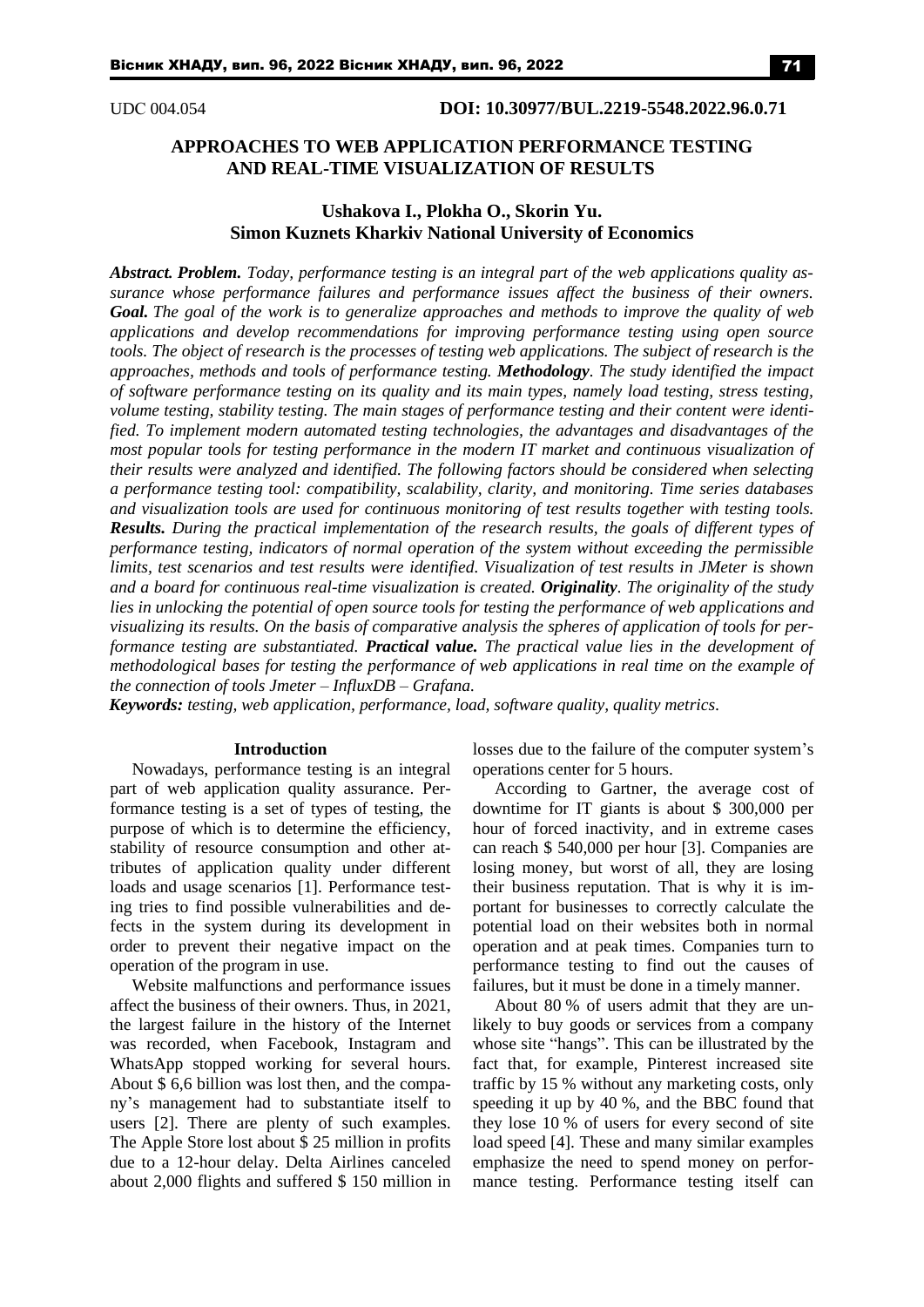#### UDС 004.054 **DOI: 10.30977/BUL.2219-5548.2022.96.0.71**

# **APPROACHES TO WEB APPLICATION PERFORMANCE TESTING AND REAL-TIME VISUALIZATION OF RESULTS**

# **Ushakova I., Plokha O., Skorin Yu. Simon Kuznets Kharkiv National University of Economics**

*Abstract. Problem. Today, performance testing is an integral part of the web applications quality assurance whose performance failures and performance issues affect the business of their owners. Goal. The goal of the work is to generalize approaches and methods to improve the quality of web applications and develop recommendations for improving performance testing using open source tools. The object of research is the processes of testing web applications. The subject of research is the approaches, methods and tools of performance testing. Methodology. The study identified the impact of software performance testing on its quality and its main types, namely load testing, stress testing, volume testing, stability testing. The main stages of performance testing and their content were identified. To implement modern automated testing technologies, the advantages and disadvantages of the most popular tools for testing performance in the modern IT market and continuous visualization of their results were analyzed and identified. The following factors should be considered when selecting a performance testing tool: compatibility, scalability, clarity, and monitoring. Time series databases and visualization tools are used for continuous monitoring of test results together with testing tools. Results. During the practical implementation of the research results, the goals of different types of performance testing, indicators of normal operation of the system without exceeding the permissible limits, test scenarios and test results were identified. Visualization of test results in JMeter is shown and a board for continuous real-time visualization is created. Originality. The originality of the study lies in unlocking the potential of open source tools for testing the performance of web applications and visualizing its results. On the basis of comparative analysis the spheres of application of tools for performance testing are substantiated. Practical value. The practical value lies in the development of methodological bases for testing the performance of web applications in real time on the example of the connection of tools Jmeter – InfluxDB – Grafana.*

*Keywords: testing, web application, performance, load, software quality, quality metrics.*

### **Introduction**

Nowadays, performance testing is an integral part of web application quality assurance. Performance testing is a set of types of testing, the purpose of which is to determine the efficiency, stability of resource consumption and other attributes of application quality under different loads and usage scenarios [1]. Performance testing tries to find possible vulnerabilities and defects in the system during its development in order to prevent their negative impact on the operation of the program in use.

Website malfunctions and performance issues affect the business of their owners. Thus, in 2021, the largest failure in the history of the Internet was recorded, when Facebook, Instagram and WhatsApp stopped working for several hours. About \$ 6,6 billion was lost then, and the company's management had to substantiate itself to users [2]. There are plenty of such examples. The Apple Store lost about \$ 25 million in profits due to a 12-hour delay. Delta Airlines canceled about 2,000 flights and suffered \$ 150 million in

losses due to the failure of the computer system's operations center for 5 hours.

According to Gartner, the average cost of downtime for IT giants is about \$ 300,000 per hour of forced inactivity, and in extreme cases can reach \$ 540,000 per hour [3]. Companies are losing money, but worst of all, they are losing their business reputation. That is why it is important for businesses to correctly calculate the potential load on their websites both in normal operation and at peak times. Companies turn to performance testing to find out the causes of failures, but it must be done in a timely manner.

About 80 % of users admit that they are unlikely to buy goods or services from a company whose site "hangs". This can be illustrated by the fact that, for example, Pinterest increased site traffic by 15 % without any marketing costs, only speeding it up by 40 %, and the BBC found that they lose 10 % of users for every second of site load speed [4]. These and many similar examples emphasize the need to spend money on performance testing. Performance testing itself can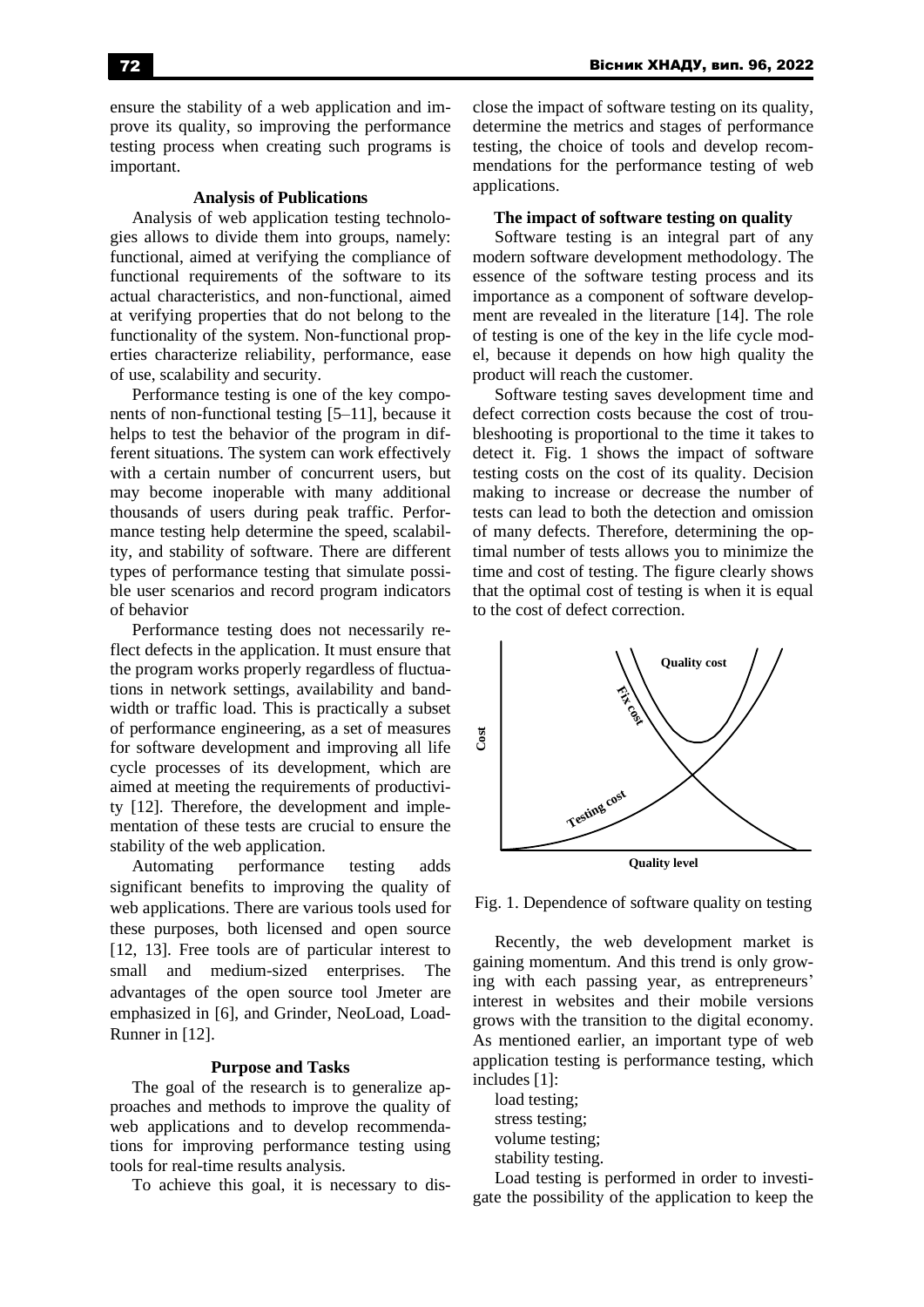ensure the stability of a web application and improve its quality, so improving the performance testing process when creating such programs is important.

### **Analysis of Publications**

Analysis of web application testing technologies allows to divide them into groups, namely: functional, aimed at verifying the compliance of functional requirements of the software to its actual characteristics, and non-functional, aimed at verifying properties that do not belong to the functionality of the system. Non-functional properties characterize reliability, performance, ease of use, scalability and security.

Performance testing is one of the key components of non-functional testing [5–11], because it helps to test the behavior of the program in different situations. The system can work effectively with a certain number of concurrent users, but may become inoperable with many additional thousands of users during peak traffic. Performance testing help determine the speed, scalability, and stability of software. There are different types of performance testing that simulate possible user scenarios and record program indicators of behavior

Performance testing does not necessarily reflect defects in the application. It must ensure that the program works properly regardless of fluctuations in network settings, availability and bandwidth or traffic load. This is practically a subset of performance engineering, as a set of measures for software development and improving all life cycle processes of its development, which are aimed at meeting the requirements of productivity [12]. Therefore, the development and implementation of these tests are crucial to ensure the stability of the web application.

Automating performance testing adds significant benefits to improving the quality of web applications. There are various tools used for these purposes, both licensed and open source [12, 13]. Free tools are of particular interest to small and medium-sized enterprises. The advantages of the open source tool Jmeter are emphasized in [6], and Grinder, NeoLoad, Load-Runner in [12].

# **Purpose and Tasks**

The goal of the research is to generalize approaches and methods to improve the quality of web applications and to develop recommendations for improving performance testing using tools for real-time results analysis.

To achieve this goal, it is necessary to dis-

close the impact of software testing on its quality, determine the metrics and stages of performance testing, the choice of tools and develop recommendations for the performance testing of web applications.

### **The impact of software testing on quality**

Software testing is an integral part of any modern software development methodology. The essence of the software testing process and its importance as a component of software development are revealed in the literature [14]. The role of testing is one of the key in the life cycle model, because it depends on how high quality the product will reach the customer.

Software testing saves development time and defect correction costs because the cost of troubleshooting is proportional to the time it takes to detect it. Fig. 1 shows the impact of software testing costs on the cost of its quality. Decision making to increase or decrease the number of tests can lead to both the detection and omission of many defects. Therefore, determining the optimal number of tests allows you to minimize the time and cost of testing. The figure clearly shows that the optimal cost of testing is when it is equal to the cost of defect correction.



Fig. 1. Dependence of software quality on testing

Recently, the web development market is gaining momentum. And this trend is only growing with each passing year, as entrepreneurs' interest in websites and their mobile versions grows with the transition to the digital economy. As mentioned earlier, an important type of web application testing is performance testing, which includes [1]:

load testing; stress testing; volume testing; stability testing.

Load testing is performed in order to investigate the possibility of the application to keep the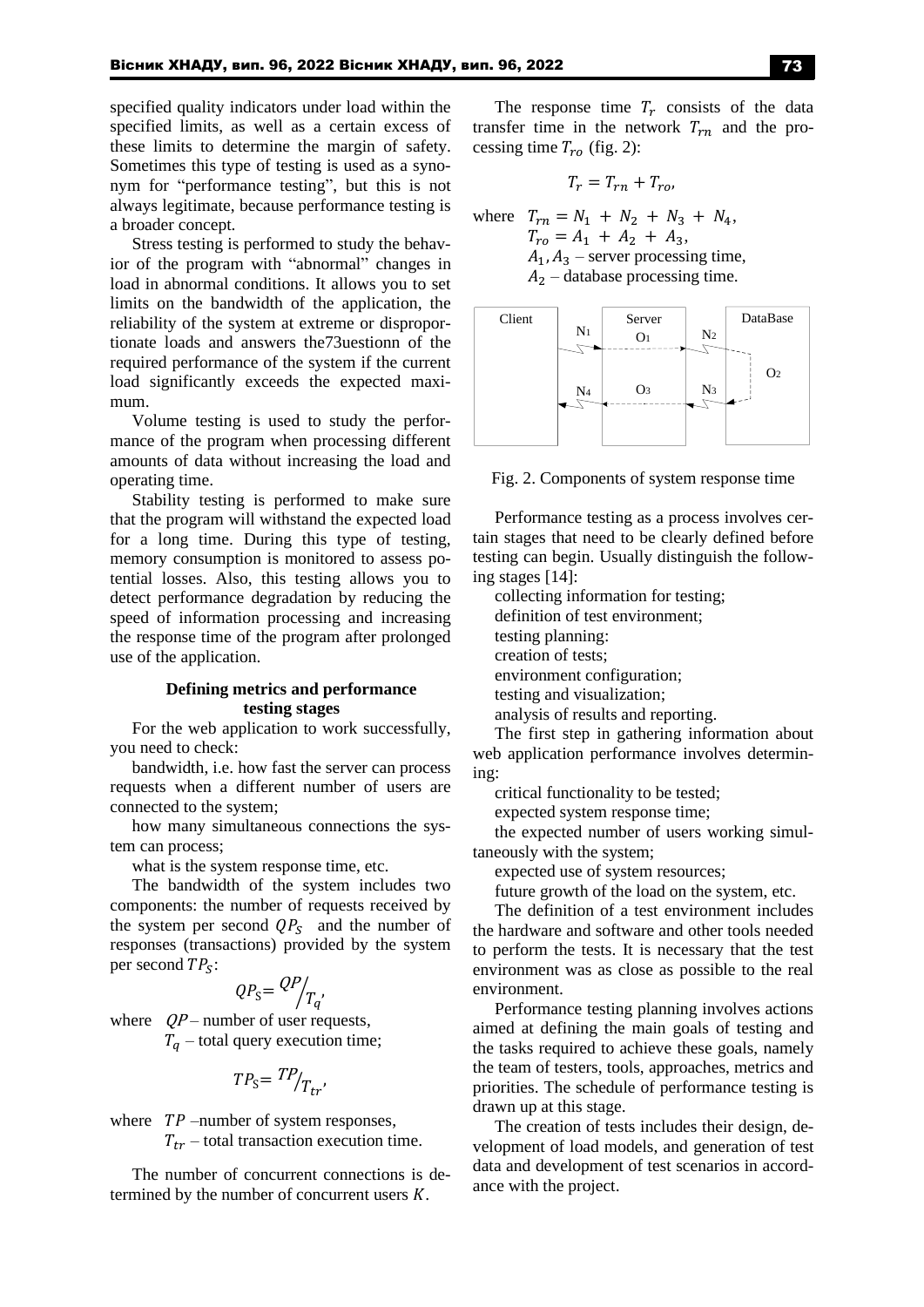specified quality indicators under load within the specified limits, as well as a certain excess of these limits to determine the margin of safety. Sometimes this type of testing is used as a synonym for "performance testing", but this is not always legitimate, because performance testing is a broader concept.

Stress testing is performed to study the behavior of the program with "abnormal" changes in load in abnormal conditions. It allows you to set limits on the bandwidth of the application, the reliability of the system at extreme or disproportionate loads and answers the73uestionn of the required performance of the system if the current load significantly exceeds the expected maximum.

Volume testing is used to study the performance of the program when processing different amounts of data without increasing the load and operating time.

Stability testing is performed to make sure that the program will withstand the expected load for a long time. During this type of testing, memory consumption is monitored to assess potential losses. Also, this testing allows you to detect performance degradation by reducing the speed of information processing and increasing the response time of the program after prolonged use of the application.

# **Defining metrics and performance testing stages**

For the web application to work successfully, you need to check:

bandwidth, i.e. how fast the server can process requests when a different number of users are connected to the system;

how many simultaneous connections the system can process;

what is the system response time, etc.

The bandwidth of the system includes two components: the number of requests received by the system per second  $QP_S$  and the number of responses (transactions) provided by the system per second  $TP_S$ :

$$
QP_{\rm S} = \frac{QP}{T_q'}
$$

where  $QP$  – number of user requests,  $T_a$  – total query execution time;

$$
TP_{\rm S} = \frac{TP}{T_{tr'}}
$$

where  $TP$  –number of system responses,  $T_{tr}$  – total transaction execution time.

The number of concurrent connections is determined by the number of concurrent users  $K$ .

The response time  $T_r$  consists of the data transfer time in the network  $T_{rn}$  and the processing time  $T_{ro}$  (fig. 2):

$$
T_r = T_{rn} + T_{ro},
$$

where  $T_{rn} = N_1 + N_2 + N_3 + N_4$ ,  $T_{ro} = A_1 + A_2 + A_3,$  $A_1, A_3$  – server processing time,  $A_2$  – database processing time.



Fig. 2. Components of system response time

Performance testing as a process involves certain stages that need to be clearly defined before testing can begin. Usually distinguish the following stages [14]:

collecting information for testing;

definition of test environment;

testing planning:

creation of tests;

environment configuration;

testing and visualization;

analysis of results and reporting.

The first step in gathering information about web application performance involves determining:

critical functionality to be tested;

expected system response time;

the expected number of users working simultaneously with the system;

expected use of system resources;

future growth of the load on the system, etc.

The definition of a test environment includes the hardware and software and other tools needed to perform the tests. It is necessary that the test environment was as close as possible to the real environment.

Performance testing planning involves actions aimed at defining the main goals of testing and the tasks required to achieve these goals, namely the team of testers, tools, approaches, metrics and priorities. The schedule of performance testing is drawn up at this stage.

The creation of tests includes their design, development of load models, and generation of test data and development of test scenarios in accordance with the project.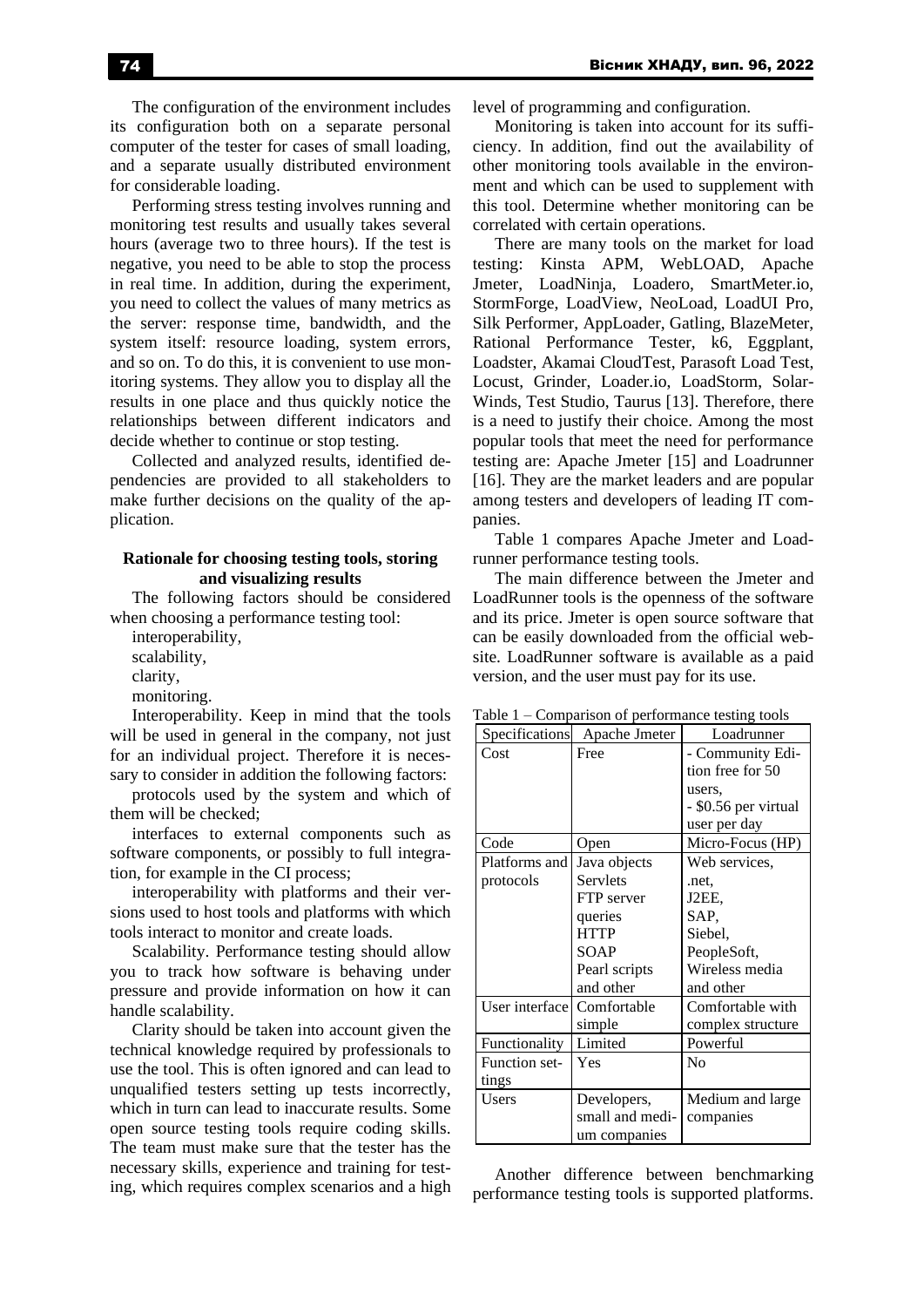The configuration of the environment includes its configuration both on a separate personal computer of the tester for cases of small loading, and a separate usually distributed environment for considerable loading.

Performing stress testing involves running and monitoring test results and usually takes several hours (average two to three hours). If the test is negative, you need to be able to stop the process in real time. In addition, during the experiment, you need to collect the values of many metrics as the server: response time, bandwidth, and the system itself: resource loading, system errors, and so on. To do this, it is convenient to use monitoring systems. They allow you to display all the results in one place and thus quickly notice the relationships between different indicators and decide whether to continue or stop testing.

Collected and analyzed results, identified dependencies are provided to all stakeholders to make further decisions on the quality of the application.

# **Rationale for choosing testing tools, storing and visualizing results**

The following factors should be considered when choosing a performance testing tool:

interoperability, scalability,

clarity,

monitoring.

Interoperability. Keep in mind that the tools will be used in general in the company, not just for an individual project. Therefore it is necessary to consider in addition the following factors:

protocols used by the system and which of them will be checked;

interfaces to external components such as software components, or possibly to full integration, for example in the CI process;

interoperability with platforms and their versions used to host tools and platforms with which tools interact to monitor and create loads.

Scalability. Performance testing should allow you to track how software is behaving under pressure and provide information on how it can handle scalability.

Clarity should be taken into account given the technical knowledge required by professionals to use the tool. This is often ignored and can lead to unqualified testers setting up tests incorrectly, which in turn can lead to inaccurate results. Some open source testing tools require coding skills. The team must make sure that the tester has the necessary skills, experience and training for testing, which requires complex scenarios and a high level of programming and configuration.

Monitoring is taken into account for its sufficiency. In addition, find out the availability of other monitoring tools available in the environment and which can be used to supplement with this tool. Determine whether monitoring can be correlated with certain operations.

There are many tools on the market for load testing: Kinsta APM, WebLOAD, Apache Jmeter, LoadNinja, Loadero, SmartMeter.io, StormForge, LoadView, NeoLoad, LoadUI Pro, Silk Performer, AppLoader, Gatling, BlazeMeter, Rational Performance Tester, k6, Eggplant, Loadster, Akamai CloudTest, Parasoft Load Test, Locust, Grinder, Loader.io, LoadStorm, Solar-Winds, Test Studio, Taurus [13]. Therefore, there is a need to justify their choice. Among the most popular tools that meet the need for performance testing are: Apache Jmeter [15] and Loadrunner [16]. They are the market leaders and are popular among testers and developers of leading IT companies.

Table 1 compares Apache Jmeter and Loadrunner performance testing tools.

The main difference between the Jmeter and LoadRunner tools is the openness of the software and its price. Jmeter is open source software that can be easily downloaded from the official website. LoadRunner software is available as a paid version, and the user must pay for its use.

| Specifications | Apache Jmeter   | Loadrunner           |
|----------------|-----------------|----------------------|
| Cost           | Free            | - Community Edi-     |
|                |                 | tion free for 50     |
|                |                 | users.               |
|                |                 | - \$0.56 per virtual |
|                |                 | user per day         |
| Code           | Open            | Micro-Focus (HP)     |
| Platforms and  | Java objects    | Web services.        |
| protocols      | <b>Servlets</b> | .net.                |
|                | FTP server      | J2EE.                |
|                | queries         | SAP.                 |
|                | <b>HTTP</b>     | Siebel,              |
|                | <b>SOAP</b>     | PeopleSoft,          |
|                | Pearl scripts   | Wireless media       |
|                | and other       | and other            |
| User interface | Comfortable     | Comfortable with     |
|                | simple          | complex structure    |
| Functionality  | Limited         | Powerful             |
| Function set-  | Yes             | $\rm No$             |
| tings          |                 |                      |
| Users          | Developers,     | Medium and large     |
|                | small and medi- | companies            |
|                | um companies    |                      |

Table 1 – Comparison of performance testing tools

Another difference between benchmarking performance testing tools is supported platforms.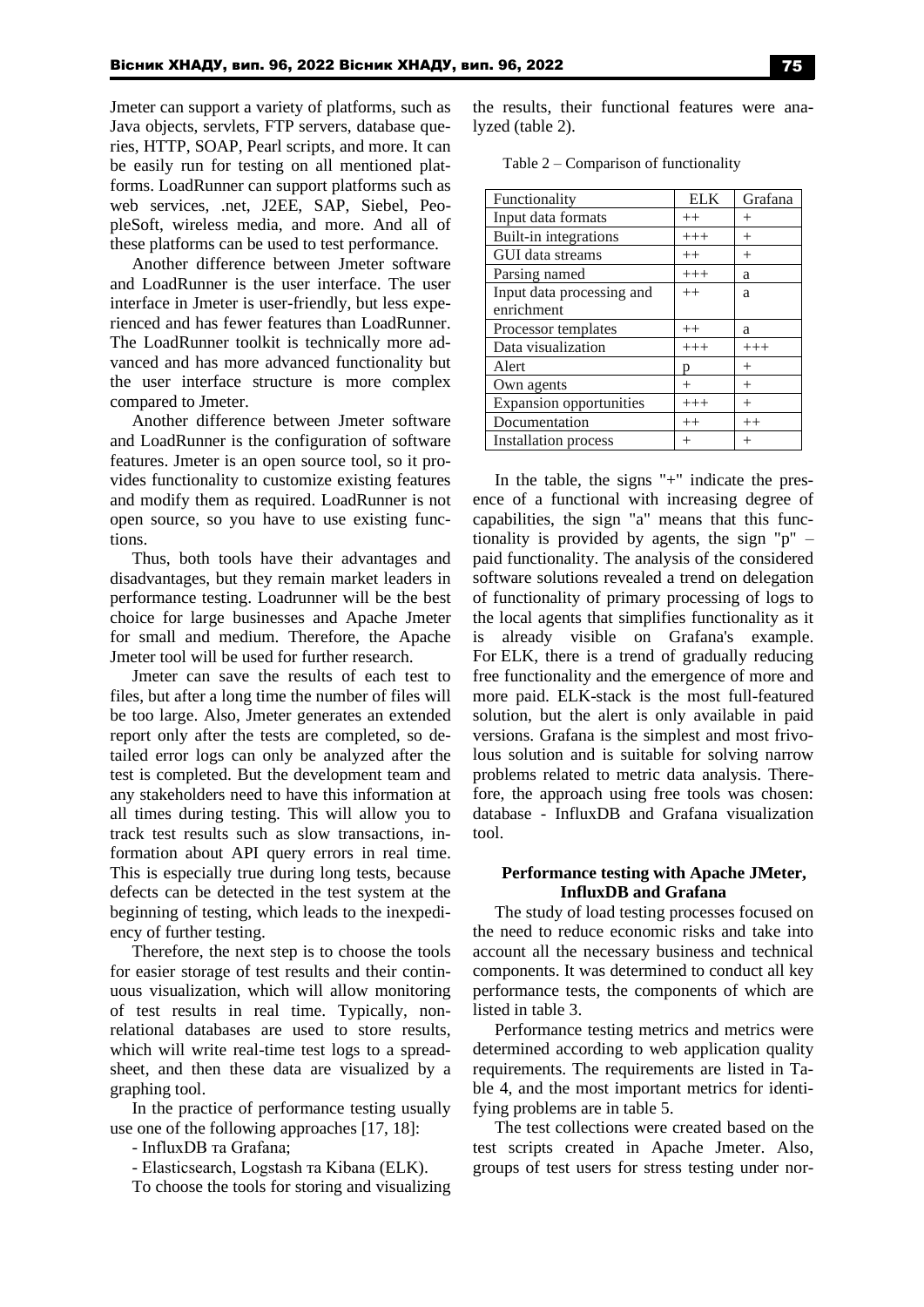Jmeter can support a variety of platforms, such as Java objects, servlets, FTP servers, database queries, HTTP, SOAP, Pearl scripts, and more. It can be easily run for testing on all mentioned platforms. LoadRunner can support platforms such as web services, .net, J2EE, SAP, Siebel, PeopleSoft, wireless media, and more. And all of these platforms can be used to test performance.

Another difference between Jmeter software and LoadRunner is the user interface. The user interface in Jmeter is user-friendly, but less experienced and has fewer features than LoadRunner. The LoadRunner toolkit is technically more advanced and has more advanced functionality but the user interface structure is more complex compared to Jmeter.

Another difference between Jmeter software and LoadRunner is the configuration of software features. Jmeter is an open source tool, so it provides functionality to customize existing features and modify them as required. LoadRunner is not open source, so you have to use existing functions.

Thus, both tools have their advantages and disadvantages, but they remain market leaders in performance testing. Loadrunner will be the best choice for large businesses and Apache Jmeter for small and medium. Therefore, the Apache Jmeter tool will be used for further research.

Jmeter can save the results of each test to files, but after a long time the number of files will be too large. Also, Jmeter generates an extended report only after the tests are completed, so detailed error logs can only be analyzed after the test is completed. But the development team and any stakeholders need to have this information at all times during testing. This will allow you to track test results such as slow transactions, information about API query errors in real time. This is especially true during long tests, because defects can be detected in the test system at the beginning of testing, which leads to the inexpediency of further testing.

Therefore, the next step is to choose the tools for easier storage of test results and their continuous visualization, which will allow monitoring of test results in real time. Typically, nonrelational databases are used to store results, which will write real-time test logs to a spreadsheet, and then these data are visualized by a graphing tool.

In the practice of performance testing usually use one of the following approaches [17, 18]:

- InfluxDB та Grafana;

- Elasticsearch, Logstash та Kibana (ELK).

To choose the tools for storing and visualizing

the results, their functional features were analyzed (table 2).

Table 2 – Comparison of functionality

| Functionality                  | <b>ELK</b> | Grafana |
|--------------------------------|------------|---------|
| Input data formats             | $^{++}$    | $^+$    |
| Built-in integrations          | $+++$      | $^{+}$  |
| GUI data streams               | $^{++}$    | $^{+}$  |
| Parsing named                  | $+++$      | a       |
| Input data processing and      | $^{++}$    | a       |
| enrichment                     |            |         |
| Processor templates            | $^{++}$    | a       |
| Data visualization             | $+++$      | $+++$   |
| Alert                          |            | $^{+}$  |
| Own agents                     | $^{+}$     | $^{+}$  |
| <b>Expansion opportunities</b> | $+++$      | $^{+}$  |
| Documentation                  | $++$       | $++$    |
| Installation process           | $\! +$     | $^+$    |

In the table, the signs "+" indicate the presence of a functional with increasing degree of capabilities, the sign "a" means that this functionality is provided by agents, the sign "p" *–* paid functionality. The analysis of the considered software solutions revealed a trend on delegation of functionality of primary processing of logs to the local agents that simplifies functionality as it is already visible on Grafana's example. For ELK, there is a trend of gradually reducing free functionality and the emergence of more and more paid. ELK-stack is the most full-featured solution, but the alert is only available in paid versions. Grafana is the simplest and most frivolous solution and is suitable for solving narrow problems related to metric data analysis. Therefore, the approach using free tools was chosen: database - InfluxDB and Grafana visualization tool.

# **Performance testing with Apache JMeter, InfluxDB and Grafana**

The study of load testing processes focused on the need to reduce economic risks and take into account all the necessary business and technical components. It was determined to conduct all key performance tests, the components of which are listed in table 3.

Performance testing metrics and metrics were determined according to web application quality requirements. The requirements are listed in Table 4, and the most important metrics for identifying problems are in table 5.

The test collections were created based on the test scripts created in Apache Jmeter. Also, groups of test users for stress testing under nor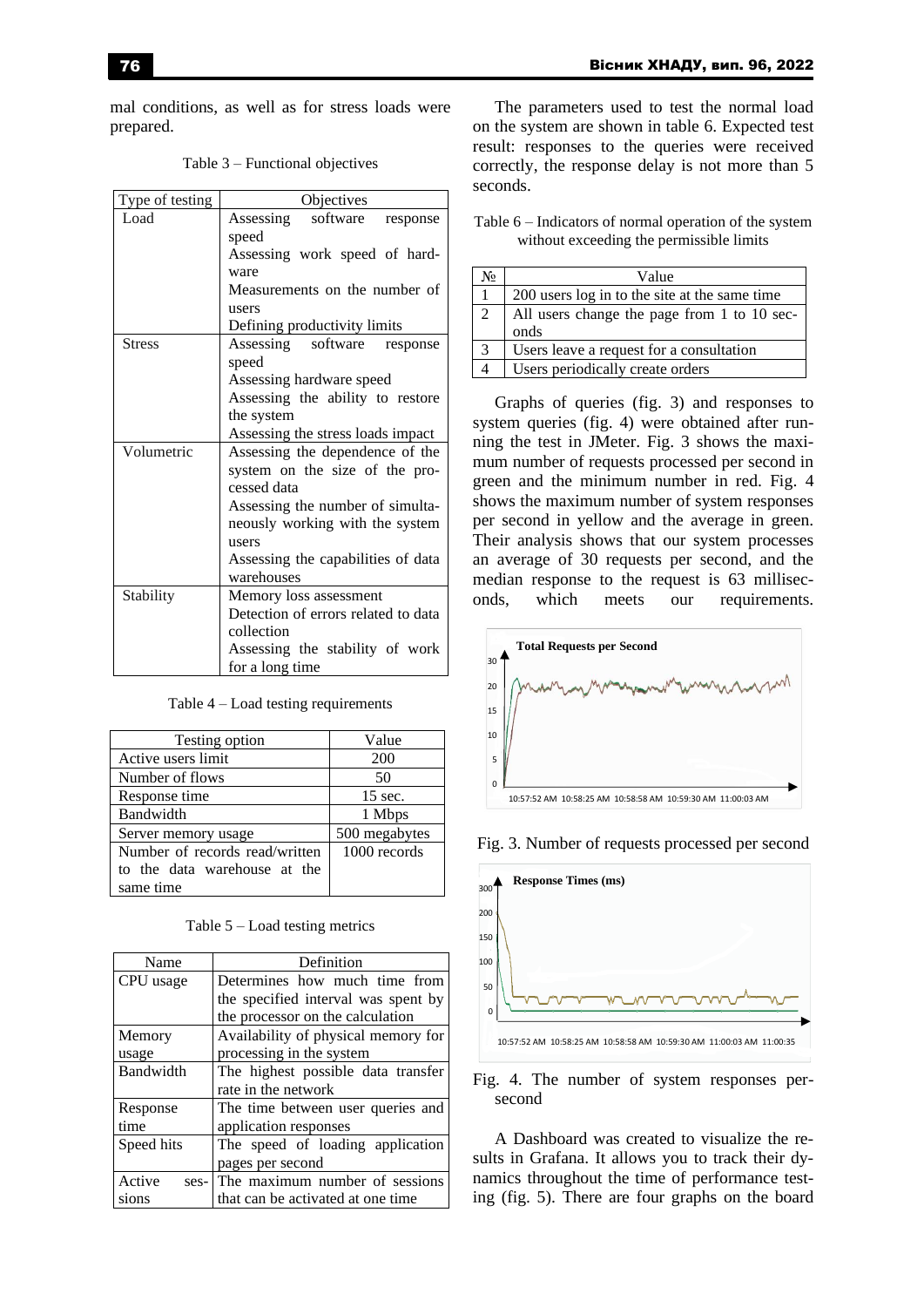mal conditions, as well as for stress loads were prepared.

Table 3 – Functional objectives

| Type of testing | Objectives                            |  |  |
|-----------------|---------------------------------------|--|--|
| Load            | Assessing<br>software<br>response     |  |  |
|                 | speed                                 |  |  |
|                 | Assessing work speed of hard-         |  |  |
|                 | ware                                  |  |  |
|                 | Measurements on the number of         |  |  |
|                 | users<br>Defining productivity limits |  |  |
|                 |                                       |  |  |
| <b>Stress</b>   | Assessing software<br>response        |  |  |
|                 | speed                                 |  |  |
|                 | Assessing hardware speed              |  |  |
|                 | Assessing the ability to restore      |  |  |
|                 | the system                            |  |  |
|                 | Assessing the stress loads impact     |  |  |
| Volumetric      | Assessing the dependence of the       |  |  |
|                 | system on the size of the pro-        |  |  |
|                 | cessed data                           |  |  |
|                 | Assessing the number of simulta-      |  |  |
|                 | neously working with the system       |  |  |
|                 | users                                 |  |  |
|                 | Assessing the capabilities of data    |  |  |
|                 | warehouses                            |  |  |
| Stability       | Memory loss assessment                |  |  |
|                 | Detection of errors related to data   |  |  |
|                 | collection                            |  |  |
|                 | Assessing the stability of work       |  |  |
|                 | for a long time                       |  |  |

Table 4 – Load testing requirements

| Testing option                 | Value             |
|--------------------------------|-------------------|
| Active users limit             | 200               |
| Number of flows                | 50                |
| Response time                  | $15 \text{ sec.}$ |
| Bandwidth                      | 1 Mbps            |
| Server memory usage            | 500 megabytes     |
| Number of records read/written | 1000 records      |
| to the data warehouse at the   |                   |
| same time                      |                   |

Table 5 – Load testing metrics

| Name       | Definition                          |  |
|------------|-------------------------------------|--|
| CPU usage  | Determines how much time from       |  |
|            | the specified interval was spent by |  |
|            | the processor on the calculation    |  |
| Memory     | Availability of physical memory for |  |
| usage      | processing in the system            |  |
| Bandwidth  | The highest possible data transfer  |  |
|            | rate in the network                 |  |
| Response   | The time between user queries and   |  |
| time       | application responses               |  |
| Speed hits | The speed of loading application    |  |
|            | pages per second                    |  |
| Active     | ses-The maximum number of sessions  |  |
| s10ns      | that can be activated at one time   |  |

The parameters used to test the normal load on the system are shown in table 6. Expected test result: responses to the queries were received correctly, the response delay is not more than 5 seconds.

Table 6 – Indicators of normal operation of the system without exceeding the permissible limits

| N∘            | Value                                         |
|---------------|-----------------------------------------------|
|               | 200 users log in to the site at the same time |
| $\mathcal{D}$ | All users change the page from 1 to 10 sec-   |
|               | onds                                          |
| 3             | Users leave a request for a consultation      |
|               | Users periodically create orders              |

Graphs of queries (fig. 3) and responses to system queries (fig. 4) were obtained after running the test in JMeter. Fig. 3 shows the maximum number of requests processed per second in green and the minimum number in red. Fig. 4 shows the maximum number of system responses per second in yellow and the average in green. Their analysis shows that our system processes an average of 30 requests per second, and the median response to the request is 63 milliseconds, which meets our requirements.



Fig. 3. Number of requests processed per second



Fig. 4. The number of system responses persecond

A Dashboard was created to visualize the results in Grafana. It allows you to track their dynamics throughout the time of performance testing (fig. 5). There are four graphs on the board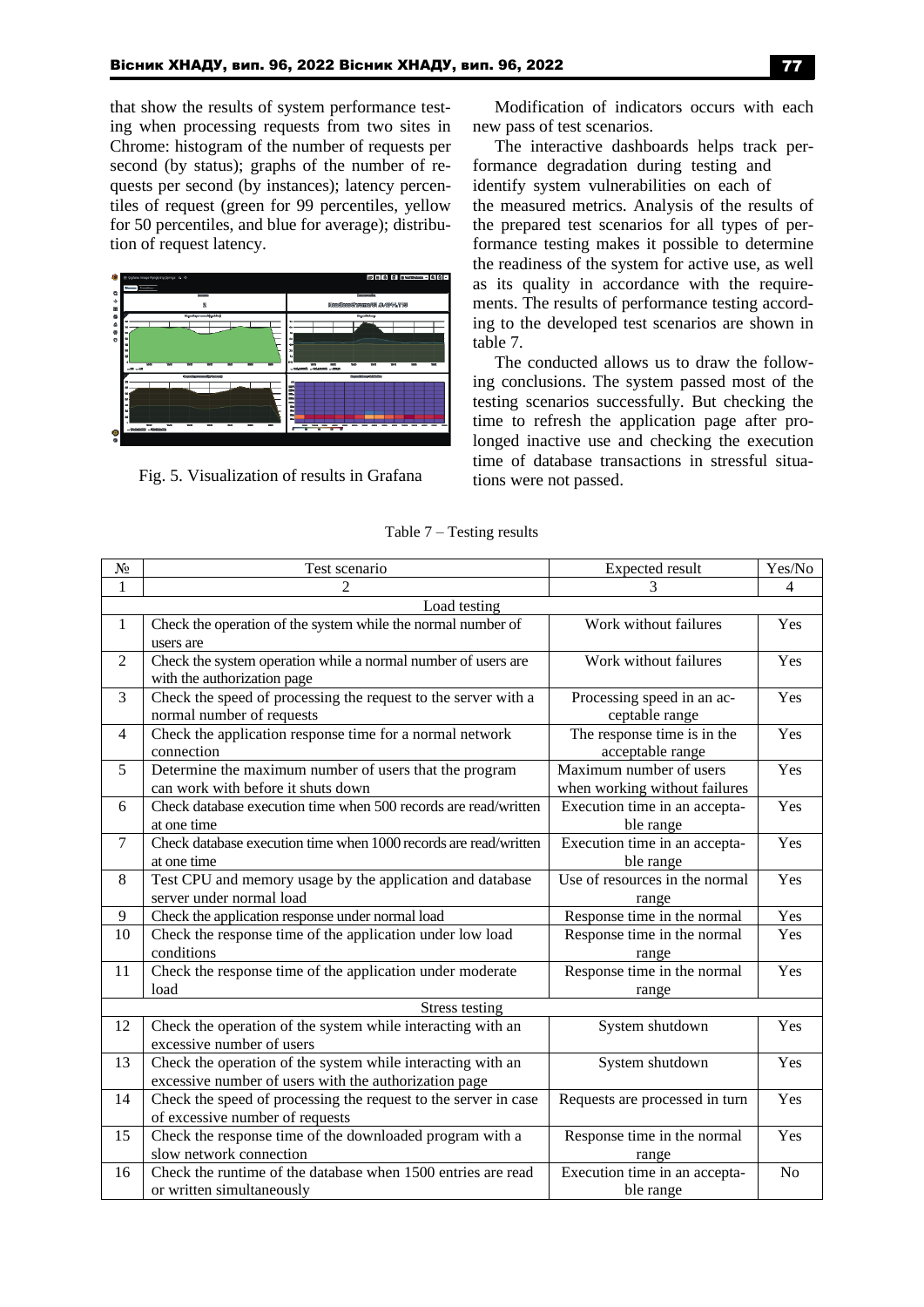that show the results of system performance testing when processing requests from two sites in Chrome: histogram of the number of requests per second (by status); graphs of the number of requests per second (by instances); latency percentiles of request (green for 99 percentiles, yellow for 50 percentiles, and blue for average); distribution of request latency.



Fig. 5. Visualization of results in Grafana

Modification of indicators occurs with each new pass of test scenarios.

The interactive dashboards helps track performance degradation during testing and identify system vulnerabilities on each of the measured metrics. Analysis of the results of the prepared test scenarios for all types of performance testing makes it possible to determine the readiness of the system for active use, as well as its quality in accordance with the requirements. The results of performance testing according to the developed test scenarios are shown in table 7.

The conducted allows us to draw the following conclusions. The system passed most of the testing scenarios successfully. But checking the time to refresh the application page after prolonged inactive use and checking the execution time of database transactions in stressful situations were not passed.

| $N_2$          | Test scenario                                                    | Expected result                | Yes/No         |
|----------------|------------------------------------------------------------------|--------------------------------|----------------|
| 1              |                                                                  |                                | $\overline{4}$ |
|                | Load testing                                                     |                                |                |
| $\mathbf{1}$   | Check the operation of the system while the normal number of     | Work without failures          | Yes            |
|                | users are                                                        |                                |                |
| $\overline{2}$ | Check the system operation while a normal number of users are    | Work without failures          | Yes            |
|                | with the authorization page                                      |                                |                |
| $\overline{3}$ | Check the speed of processing the request to the server with a   | Processing speed in an ac-     | Yes            |
|                | normal number of requests                                        | ceptable range                 |                |
| $\overline{4}$ | Check the application response time for a normal network         | The response time is in the    | Yes            |
|                | connection                                                       | acceptable range               |                |
| 5              | Determine the maximum number of users that the program           | Maximum number of users        | Yes            |
|                | can work with before it shuts down                               | when working without failures  |                |
| 6              | Check database execution time when 500 records are read/written  | Execution time in an accepta-  | Yes            |
|                | at one time                                                      | ble range                      |                |
| $\overline{7}$ | Check database execution time when 1000 records are read/written | Execution time in an accepta-  | Yes            |
|                | at one time                                                      | ble range                      |                |
| 8              | Test CPU and memory usage by the application and database        | Use of resources in the normal | Yes            |
|                | server under normal load                                         | range                          |                |
| 9              | Check the application response under normal load                 | Response time in the normal    | Yes            |
| 10             | Check the response time of the application under low load        | Response time in the normal    | Yes            |
|                | conditions                                                       | range                          |                |
| 11             | Check the response time of the application under moderate        | Response time in the normal    | Yes            |
|                | load                                                             | range                          |                |
|                | Stress testing                                                   |                                |                |
| 12             | Check the operation of the system while interacting with an      | System shutdown                | Yes            |
|                | excessive number of users                                        |                                |                |
| 13             | Check the operation of the system while interacting with an      | System shutdown                | Yes            |
|                | excessive number of users with the authorization page            |                                |                |
| 14             | Check the speed of processing the request to the server in case  | Requests are processed in turn | Yes            |
|                | of excessive number of requests                                  |                                |                |
| 15             | Check the response time of the downloaded program with a         | Response time in the normal    | Yes            |
|                | slow network connection                                          | range                          |                |
| 16             | Check the runtime of the database when 1500 entries are read     | Execution time in an accepta-  | N <sub>o</sub> |
|                | or written simultaneously                                        | ble range                      |                |

Table 7 – Testing results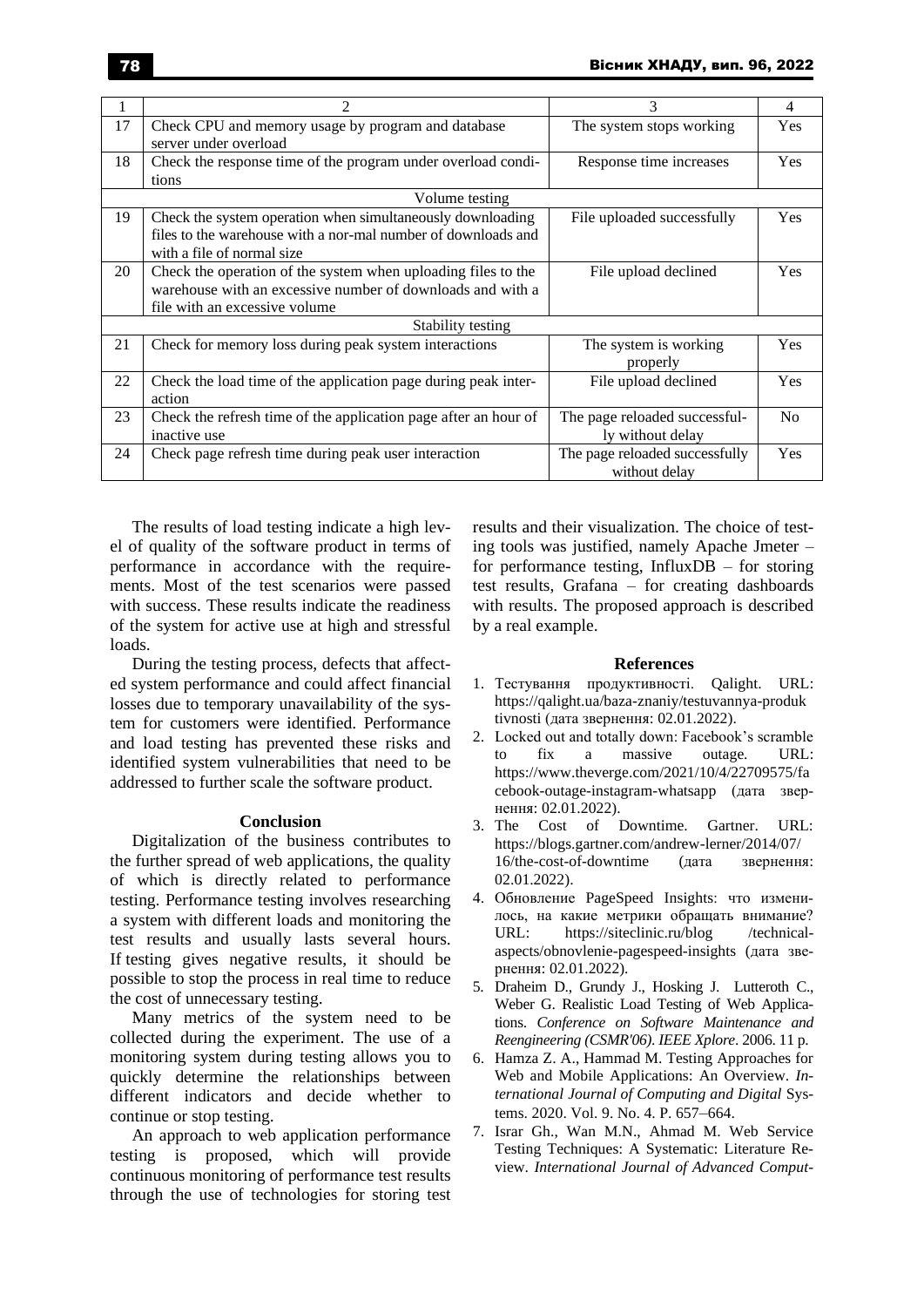|                   |                                                                                                                                                              | 3                                                 | 4              |
|-------------------|--------------------------------------------------------------------------------------------------------------------------------------------------------------|---------------------------------------------------|----------------|
| 17                | Check CPU and memory usage by program and database<br>server under overload                                                                                  | The system stops working                          | Yes            |
| 18                | Check the response time of the program under overload condi-<br>tions                                                                                        | Response time increases                           | <b>Yes</b>     |
|                   | Volume testing                                                                                                                                               |                                                   |                |
| 19                | Check the system operation when simultaneously downloading<br>files to the warehouse with a nor-mal number of downloads and<br>with a file of normal size.   | File uploaded successfully                        | Yes            |
| 20                | Check the operation of the system when uploading files to the<br>warehouse with an excessive number of downloads and with a<br>file with an excessive volume | File upload declined                              | Yes            |
| Stability testing |                                                                                                                                                              |                                                   |                |
| 21                | Check for memory loss during peak system interactions                                                                                                        | The system is working<br>properly                 | <b>Yes</b>     |
| 22                | Check the load time of the application page during peak inter-<br>action                                                                                     | File upload declined                              | Yes            |
| 23                | Check the refresh time of the application page after an hour of<br>inactive use                                                                              | The page reloaded successful-<br>ly without delay | N <sub>0</sub> |
| 24                | Check page refresh time during peak user interaction                                                                                                         | The page reloaded successfully<br>without delay   | Yes            |

The results of load testing indicate a high level of quality of the software product in terms of performance in accordance with the requirements. Most of the test scenarios were passed with success. These results indicate the readiness of the system for active use at high and stressful loads.

During the testing process, defects that affected system performance and could affect financial losses due to temporary unavailability of the system for customers were identified. Performance and load testing has prevented these risks and identified system vulnerabilities that need to be addressed to further scale the software product.

### **Conclusion**

Digitalization of the business contributes to the further spread of web applications, the quality of which is directly related to performance testing. Performance testing involves researching a system with different loads and monitoring the test results and usually lasts several hours. If testing gives negative results, it should be possible to stop the process in real time to reduce the cost of unnecessary testing.

Many metrics of the system need to be collected during the experiment. The use of a monitoring system during testing allows you to quickly determine the relationships between different indicators and decide whether to continue or stop testing.

An approach to web application performance testing is proposed, which will provide continuous monitoring of performance test results through the use of technologies for storing test

results and their visualization. The choice of testing tools was justified, namely Apache Jmeter *–* for performance testing, InfluxDB *–* for storing test results, Grafana *–* for creating dashboards with results. The proposed approach is described by a real example.

### **References**

- 1. Тестування продуктивності. Qalight. URL: https://qalight.ua/baza-znaniy/testuvannya-produk tivnosti (дата звернення: 02.01.2022).
- 2. Locked out and totally down: Facebook's scramble to fix a massive outage. URL: https://www.theverge.com/2021/10/4/22709575/fa cebook-outage-instagram-whatsapp (дата звернення: 02.01.2022).
- 3. The Cost of Downtime. Gartner. URL: https://blogs.gartner.com/andrew-lerner/2014/07/ 16/the-cost-of-downtime (дата звернення: 02.01.2022).
- 4. Обновление PageSpeed Insights: что изменилось, на какие метрики обращать внимание? URL: https://siteclinic.ru/blog /technicalaspects/obnovlenie-pagespeed-insights (дата звернення: 02.01.2022).
- 5. Draheim D., Grundy J., Hosking J. [Lutteroth](https://ieeexplore.ieee.org/author/37284104800) C., Weber G. Realistic Load Testing of Web Applications. *Conference on Software Maintenance and Reengineering (CSMR'06)*. *IEEE Xplore*. 2006. 11 p.
- 6. Hamza Z. A., Hammad M. Testing Approaches for Web and Mobile Applications: An Overview. *International Journal of Computing and Digital* Systems. 2020. Vol. 9. No. 4. P. 657*–*664.
- 7. Israr Gh., Wan M.N., Ahmad M. Web Service Testing Techniques: A Systematic: Literature Review. *International Journal of Advanced Comput-*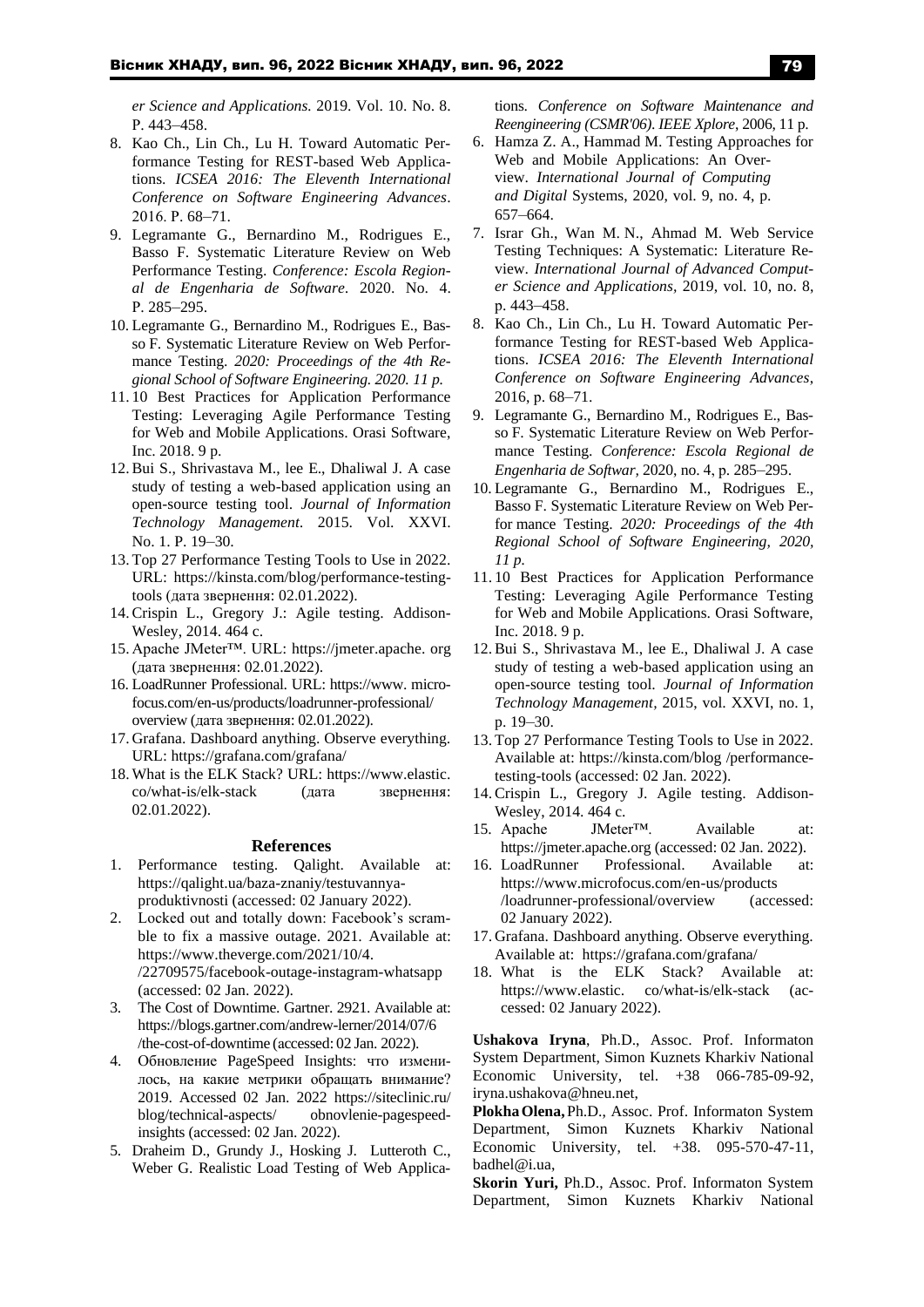*er Science and Applications.* 2019. Vol. 10. No. 8. Р. 443*–*458.

- 8. Kao Ch., Lin Ch., Lu H. Toward Automatic Performance Testing for REST-based Web Applications. *ICSEA 2016: The Eleventh International Conference on Software Engineering Advances*. 2016. Р. 68*–*71.
- 9. Legramante G., Bernardino M., Rodrigues E., Basso F. Systematic Literature Review on Web Performance Testing. *Conference: Escola Regional de Engenharia de Software.* 2020. No. 4. Р. 285*–*295.
- 10. Legramante G., Bernardino M., Rodrigues E., Basso F. Systematic Literature Review on Web Performance Testing. *2020: Proceedings of the 4th Regional School of Software Engineering. 2020. 11 p.*
- 11. 10 Best Practices for Application Performance Testing: Leveraging Agile Performance Testing for Web and Mobile Applications. Orasi Software, Inc. 2018. 9 p.
- 12.Bui S., Shrivastava M., lee E., Dhaliwal J. A case study of testing a web-based application using an open-source testing tool. *Journal of Information Technology Management.* 2015. Vol. XXVI. No. 1. P. 19*–*30.
- 13. Top 27 Performance Testing Tools to Use in 2022. URL: https://kinsta.com/blog/performance-testingtools (дата звернення: 02.01.2022).
- 14.Crispin L., Gregory J.: Agile testing. Addison-Wesley, 2014. 464 c.
- 15. Apache JMeter™. URL: https://jmeter.apache. org (дата звернення: 02.01.2022).
- 16. LoadRunner Professional. URL: https://www. microfocus.com/en-us/products/loadrunner-professional/ overview (дата звернення: 02.01.2022).
- 17. Grafana. Dashboard anything. Observe everything. URL: https://grafana.com/grafana/
- 18. What is the ELK Stack? URL: https://www.elastic. co/what-is/elk-stack (дата звернення: 02.01.2022).

#### **References**

- 1. Performance testing. Qalight. Available at: https://qalight.ua/baza-znaniy/testuvannyaproduktivnosti (accessed: 02 January 2022).
- 2. Locked out and totally down: Facebook's scramble to fix a massive outage. 2021. Available at: https://www.theverge.com/2021/10/4. /22709575/facebook-outage-instagram-whatsapp (аccessed: 02 Jan. 2022).
- 3. The Cost of Downtime. Gartner. 2921. Available at: https://blogs.gartner.com/andrew-lerner/2014/07/6 /the-cost-of-downtime (аccessed: 02 Jan. 2022).
- 4. Обновление PageSpeed Insights: что изменилось, на какие метрики обращать внимание? 2019. Accessed 02 Jan. 2022 https://siteclinic.ru/ blog/technical-aspects/ obnovlenie-pagespeedinsights (аccessed: 02 Jan. 2022).
- 5. Draheim D., Grundy J., Hosking J. [Lutteroth](https://ieeexplore.ieee.org/author/37284104800) C., Weber G. Realistic Load Testing of Web Applica-

tions. *Conference on Software Maintenance and Reengineering (CSMR'06)*. *IEEE Xplore*, 2006, 11 p.

- 6. Hamza Z. A., Hammad M. Testing Approaches for Web and Mobile Applications: An Overview. *International Journal of Computing and Digital* Systems, 2020, vol. 9, no. 4, p. 657*–*664.
- 7. Israr Gh., Wan M. N., Ahmad M. Web Service Testing Techniques: A Systematic: Literature Review. *International Journal of Advanced Computer Science and Applications,* 2019, vol. 10, no. 8, р. 443*–*458.
- 8. Kao Ch., Lin Ch., Lu H. Toward Automatic Performance Testing for REST-based Web Applications. *ICSEA 2016: The Eleventh International Conference on Software Engineering Advances*, 2016, р. 68*–*71.
- 9. Legramante G., Bernardino M., Rodrigues E., Basso F. Systematic Literature Review on Web Performance Testing. *Conference: Escola Regional de Engenharia de Softwar,* 2020, no. 4, р. 285*–*295.
- 10. Legramante G., Bernardino M., Rodrigues E., Basso F. Systematic Literature Review on Web Perfor mance Testing. *2020: Proceedings of the 4th Regional School of Software Engineering, 2020, 11 p.*
- 11. 10 Best Practices for Application Performance Testing: Leveraging Agile Performance Testing for Web and Mobile Applications. Orasi Software, Inc. 2018. 9 p.
- 12.Bui S., Shrivastava M., lee E., Dhaliwal J. A case study of testing a web-based application using an open-source testing tool. *Journal of Information Technology Management,* 2015, vol. XXVI, no. 1, p. 19*–*30.
- 13. Top 27 Performance Testing Tools to Use in 2022. Available at: https://kinsta.com/blog /performancetesting-tools (аccessed: 02 Jan. 2022).
- 14.Crispin L., Gregory J. Agile testing. Addison-Wesley, 2014. 464 c.<br>Apache JMeter<sup>TM</sup>.
- 15. Apache JMeter™. Available at: https://jmeter.apache.org (accessed: 02 Jan. 2022).
- 16. LoadRunner Professional. Available at: https://www.microfocus.com/en-us/products /loadrunner-professional/overview (accessed: 02 January 2022).
- 17. Grafana. Dashboard anything. Observe everything. Available at: https://grafana.com/grafana/
- 18. What is the ELK Stack? Available at: https://www.elastic. co/what-is/elk-stack (accessed: 02 January 2022).

**Ushakova Iryna**, Ph.D., Assoc. Prof. Informaton System Department, Simon Kuznets Kharkiv National Economic University, tel. +38 066-785-09-92, iryna.ushakova@hneu.net,

**PlokhaOlena,**Ph.D., Assoc. Prof. Informaton System Department, Simon Kuznets Kharkiv National Economic University, tel. +38. 095-570-47-11, badhel@i.ua,

**Skorin Yuri,** Ph.D., Assoc. Prof. Informaton System Department, Simon Kuznets Kharkiv National